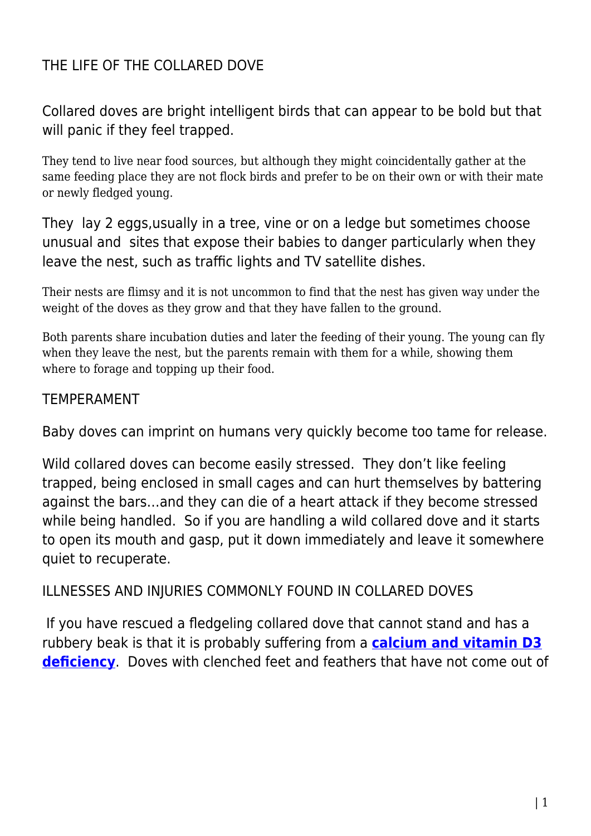## THE LIFE OF THE COLLARED DOVE

Collared doves are bright intelligent birds that can appear to be bold but that will panic if they feel trapped.

They tend to live near food sources, but although they might coincidentally gather at the same feeding place they are not flock birds and prefer to be on their own or with their mate or newly fledged young.

They lay 2 eggs,usually in a tree, vine or on a ledge but sometimes choose unusual and sites that expose their babies to danger particularly when they leave the nest, such as traffic lights and TV satellite dishes.

Their nests are flimsy and it is not uncommon to find that the nest has given way under the weight of the doves as they grow and that they have fallen to the ground.

Both parents share incubation duties and later the feeding of their young. The young can fly when they leave the nest, but the parents remain with them for a while, showing them where to forage and topping up their food.

## TEMPERAMENT

Baby doves can imprint on humans very quickly become too tame for release.

Wild collared doves can become easily stressed. They don't like feeling trapped, being enclosed in small cages and can hurt themselves by battering against the bars…and they can die of a heart attack if they become stressed while being handled. So if you are handling a wild collared dove and it starts to open its mouth and gasp, put it down immediately and leave it somewhere quiet to recuperate.

## ILLNESSES AND INJURIES COMMONLY FOUND IN COLLARED DOVES

If you have rescued a fledgeling collared dove that cannot stand and has a rubbery beak is that it is probably suffering from a **[calcium and vitamin D3](http://www.pigeonrescue.sirtobyservices.com/legs.html#824527852) [deficiency](http://www.pigeonrescue.sirtobyservices.com/legs.html#824527852)**. Doves with clenched feet and feathers that have not come out of